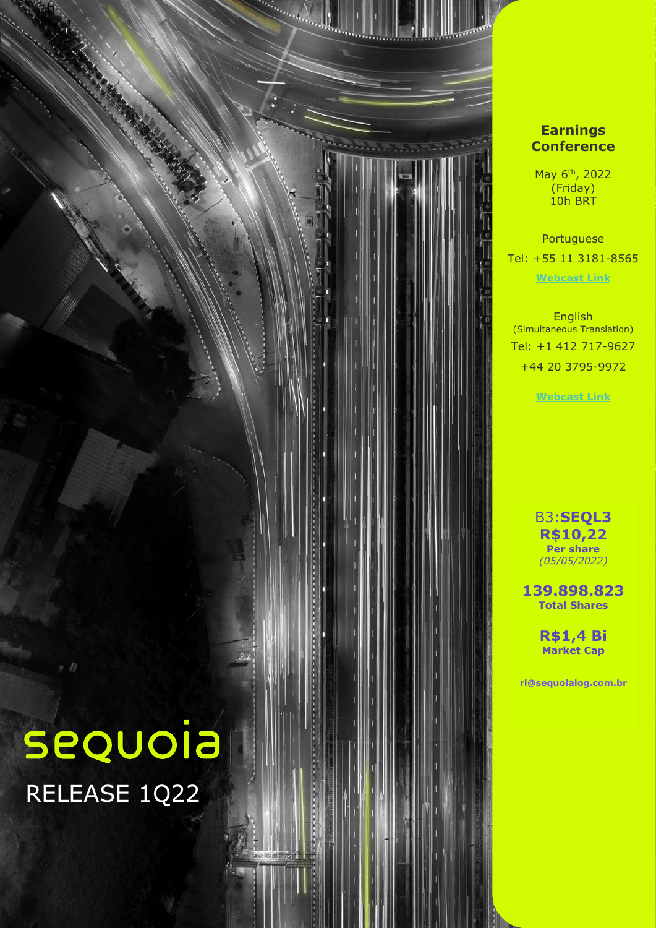

### **Earnings Conference**

May 6th , 2022 (Friday) 10h BRT

Portuguese Tel: +55 11 3181-8565 **[Webcast](https://mailerurl.mziq.com/ls/click?upn=9C1nDCSTDIGQBf5S24-2FV9MKaGGmSUPWBkYV5gGfkZgiF3-2FEvfNfP5ADT-2Bg7RY-2B0RXLbcefsCX4xKxP0P3UynGwt5MOww-2FlZA939BMl2ntvLBiVPwkuImyTnocY4s4jn-2BIJ5w_iPqbxG6-2Bi15Gs56F-2B4973ekoBgGP-2B282Z7oRmNpg8z-2F2MVlwNc-2FBBGeJX-2FnBRTMN-2BafzgzIgJXQdUAEINx-2F05-2BrDinOQidG8KZinq70QQMkHCh75O9qEusmjppOX-2BKRpm5BBzVkYojfz4f0RCyQedVCF08QFhn5h9-2FTKqOnMgg5vsar8OqbH3jcGtkb-2BP3HlbCQ8deo7dQlVkC7jtmxyAKQx0co-2FeFE41xMLwhdDpLT6sMYkb0oQmyWV3tHVUFlCKgo0A0AZRzYtkIIgcaqLNSpobPrubuNmYFpZyXgVLIjB2iiWz4ViLQQZTttc3YV5T0Fr1V3DIdghAQ1zHqjN6C-2B9jcQPPyjaXhwfRHKN-2B4DkOqb62NTxW8UY3DFzYcvnQhYyd2RTgL6nn2templ205n7UuASnD-2BsiOclD4AO5JkmPmRXUyolh97oE15wL3JoB0eSXqhovUrZhvO58rRo8g-3D-3D) Link**

English (Simultaneous Translation) Tel: +1 412 717-9627 +44 20 3795-9972

**[Webcast](https://mailerurl.mziq.com/ls/click?upn=9C1nDCSTDIGQBf5S24-2FV9MKaGGmSUPWBkYV5gGfkZgiF3-2FEvfNfP5ADT-2Bg7RY-2B0RfrmWRO-2BoCHJdGnUiJtz3fLs9JDxY-2FdcG-2F2vNkveF1gPik6m5i7xYGZfb7t4-2FKkk2IWH3_iPqbxG6-2Bi15Gs56F-2B4973ekoBgGP-2B282Z7oRmNpg8z-2F2MVlwNc-2FBBGeJX-2FnBRTMN-2BafzgzIgJXQdUAEINx-2F05-2BrDinOQidG8KZinq70QQMkHCh75O9qEusmjppOX-2BKRpm5BBzVkYojfz4f0RCyQedVCF08QFhn5h9-2FTKqOnMgg5vsar8OqbH3jcGtkb-2BP3HlbCQ8deo7dQlVkC7jtmxyAKQx0co-2FeFE41xMLwhdDpLT6sMYkb0oQmyWV3tHVUFlCKgo0A0AZRzYtkIIgcaqLNSpobPrubuNmYFpZyXgVLIjB2iiWz4ViLQQZTttc3YV5uT11PSeEpMLtWMbI7mq7QHnLd6gaODYQN2Nzz6g8bjJW5369jeCJdfcUkpmphSuPc2UWDTEuXXu-2BvXCZtkNrO4MKqnd3wtEWH9CF-2BOKW4TpZxGOIE-2FHln1Jtfs7xFw7q7gSqTQu84-2BaJjcjDVCXlJg-3D-3D) Link**

B3:**SEQL3 R\$10,22 Per share** *(05/05/2022)*

**139.898.823 Total Shares**

> **R\$1,4 Bi Market Cap**

**ri@sequoialog.com.br**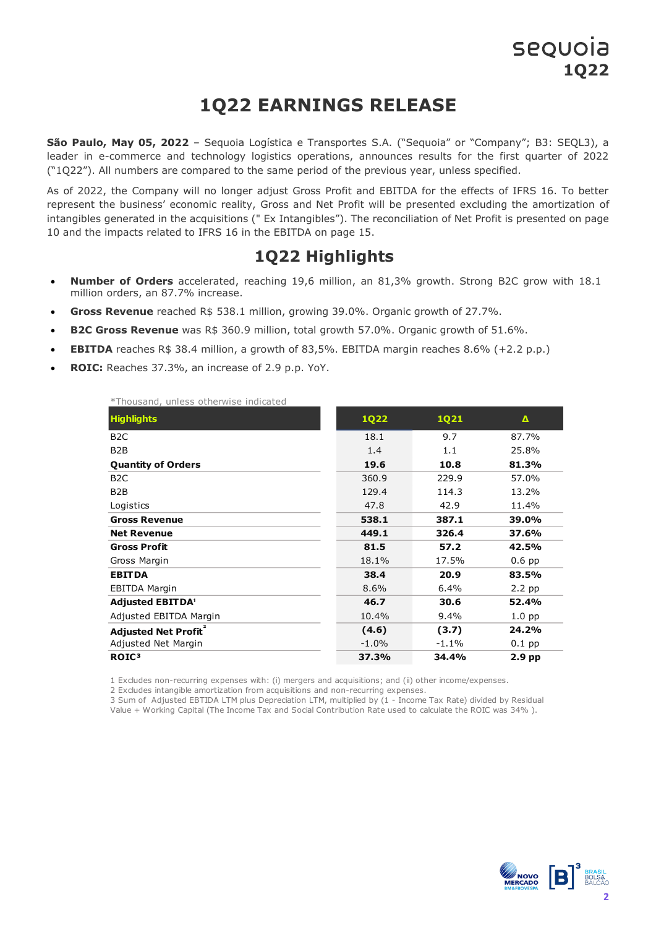# **1Q22 EARNINGS RELEASE**

**São Paulo, May 05, 2022** – Sequoia Logística e Transportes S.A. ("Sequoia" or "Company"; B3: SEQL3), a leader in e-commerce and technology logistics operations, announces results for the first quarter of 2022 ("1Q22"). All numbers are compared to the same period of the previous year, unless specified.

As of 2022, the Company will no longer adjust Gross Profit and EBITDA for the effects of IFRS 16. To better represent the business' economic reality, Gross and Net Profit will be presented excluding the amortization of intangibles generated in the acquisitions (" Ex Intangibles"). The reconciliation of Net Profit is presented on page 10 and the impacts related to IFRS 16 in the EBITDA on page 15.

### **1Q22 Highlights**

- **Number of Orders** accelerated, reaching 19,6 million, an 81,3% growth. Strong B2C grow with 18.1 million orders, an 87.7% increase.
- **Gross Revenue** reached R\$ 538.1 million, growing 39.0%. Organic growth of 27.7%.
- **B2C Gross Revenue** was R\$ 360.9 million, total growth 57.0%. Organic growth of 51.6%.
- **EBITDA** reaches R\$ 38.4 million, a growth of 83,5%. EBITDA margin reaches  $8.6\%$  (+2.2 p.p.)
- **ROIC:** Reaches 37.3%, an increase of 2.9 p.p. YoY.

\*Thousand, unless otherwise indicated

| THUUJUHU, UHILJJJ ULHUI WIJU HIUKULUU   |             |             |                   |
|-----------------------------------------|-------------|-------------|-------------------|
| <b>Highlights</b>                       | <b>1Q22</b> | <b>1Q21</b> | Δ                 |
| B <sub>2</sub> C                        | 18.1        | 9.7         | 87.7%             |
| B <sub>2</sub> B                        | 1.4         | 1.1         | 25.8%             |
| <b>Quantity of Orders</b>               | 19.6        | 10.8        | 81.3%             |
| B <sub>2</sub> C                        | 360.9       | 229.9       | 57.0%             |
| B <sub>2</sub> B                        | 129.4       | 114.3       | 13.2%             |
| Logistics                               | 47.8        | 42.9        | 11.4%             |
| <b>Gross Revenue</b>                    | 538.1       | 387.1       | 39.0%             |
| <b>Net Revenue</b>                      | 449.1       | 326.4       | 37.6%             |
| <b>Gross Profit</b>                     | 81.5        | 57.2        | 42.5%             |
| Gross Margin                            | 18.1%       | 17.5%       | $0.6$ pp          |
| <b>EBITDA</b>                           | 38.4        | 20.9        | 83.5%             |
| <b>EBITDA Margin</b>                    | 8.6%        | 6.4%        | 2.2 pp            |
| <b>Adjusted EBITDA'</b>                 | 46.7        | 30.6        | 52.4%             |
| Adjusted EBITDA Margin                  | 10.4%       | 9.4%        | 1.0 <sub>pp</sub> |
| <b>Adjusted Net Profit</b> <sup>2</sup> | (4.6)       | (3.7)       | 24.2%             |
| Adjusted Net Margin                     | $-1.0%$     | $-1.1%$     | $0.1$ pp          |
| ROIC <sup>3</sup>                       | 37.3%       | 34.4%       | 2.9 <sub>pp</sub> |

1 Excludes non-recurring expenses with: (i) mergers and acquisitions; and (ii) other income/expenses.

2 Excludes intangible amortization from acquisitions and non-recurring expenses.

3 Sum of Adjusted EBTIDA LTM plus Depreciation LTM, multiplied by (1 - Income Tax Rate) divided by Residual Value + Working Capital (The Income Tax and Social Contribution Rate used to calculate the ROIC was 34% ).

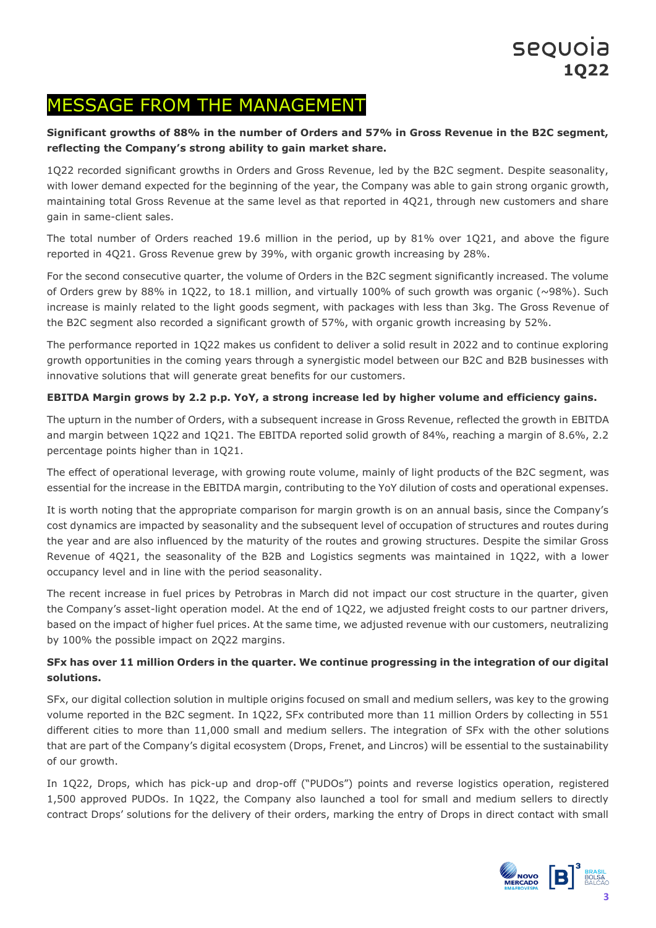## MESSAGE FROM THE MANAGEMENT

### **Significant growths of 88% in the number of Orders and 57% in Gross Revenue in the B2C segment, reflecting the Company's strong ability to gain market share.**

1Q22 recorded significant growths in Orders and Gross Revenue, led by the B2C segment. Despite seasonality, with lower demand expected for the beginning of the year, the Company was able to gain strong organic growth, maintaining total Gross Revenue at the same level as that reported in 4Q21, through new customers and share gain in same-client sales.

The total number of Orders reached 19.6 million in the period, up by 81% over 1Q21, and above the figure reported in 4Q21. Gross Revenue grew by 39%, with organic growth increasing by 28%.

For the second consecutive quarter, the volume of Orders in the B2C segment significantly increased. The volume of Orders grew by 88% in 1Q22, to 18.1 million, and virtually 100% of such growth was organic (~98%). Such increase is mainly related to the light goods segment, with packages with less than 3kg. The Gross Revenue of the B2C segment also recorded a significant growth of 57%, with organic growth increasing by 52%.

The performance reported in 1Q22 makes us confident to deliver a solid result in 2022 and to continue exploring growth opportunities in the coming years through a synergistic model between our B2C and B2B businesses with innovative solutions that will generate great benefits for our customers.

### **EBITDA Margin grows by 2.2 p.p. YoY, a strong increase led by higher volume and efficiency gains.**

The upturn in the number of Orders, with a subsequent increase in Gross Revenue, reflected the growth in EBITDA and margin between 1Q22 and 1Q21. The EBITDA reported solid growth of 84%, reaching a margin of 8.6%, 2.2 percentage points higher than in 1Q21.

The effect of operational leverage, with growing route volume, mainly of light products of the B2C segment, was essential for the increase in the EBITDA margin, contributing to the YoY dilution of costs and operational expenses.

It is worth noting that the appropriate comparison for margin growth is on an annual basis, since the Company's cost dynamics are impacted by seasonality and the subsequent level of occupation of structures and routes during the year and are also influenced by the maturity of the routes and growing structures. Despite the similar Gross Revenue of 4Q21, the seasonality of the B2B and Logistics segments was maintained in 1Q22, with a lower occupancy level and in line with the period seasonality.

The recent increase in fuel prices by Petrobras in March did not impact our cost structure in the quarter, given the Company's asset-light operation model. At the end of 1Q22, we adjusted freight costs to our partner drivers, based on the impact of higher fuel prices. At the same time, we adjusted revenue with our customers, neutralizing by 100% the possible impact on 2Q22 margins.

#### **SFx has over 11 million Orders in the quarter. We continue progressing in the integration of our digital solutions.**

SFx, our digital collection solution in multiple origins focused on small and medium sellers, was key to the growing volume reported in the B2C segment. In 1Q22, SFx contributed more than 11 million Orders by collecting in 551 different cities to more than 11,000 small and medium sellers. The integration of SFx with the other solutions that are part of the Company's digital ecosystem (Drops, Frenet, and Lincros) will be essential to the sustainability of our growth.

In 1Q22, Drops, which has pick-up and drop-off ("PUDOs") points and reverse logistics operation, registered 1,500 approved PUDOs. In 1Q22, the Company also launched a tool for small and medium sellers to directly contract Drops' solutions for the delivery of their orders, marking the entry of Drops in direct contact with small

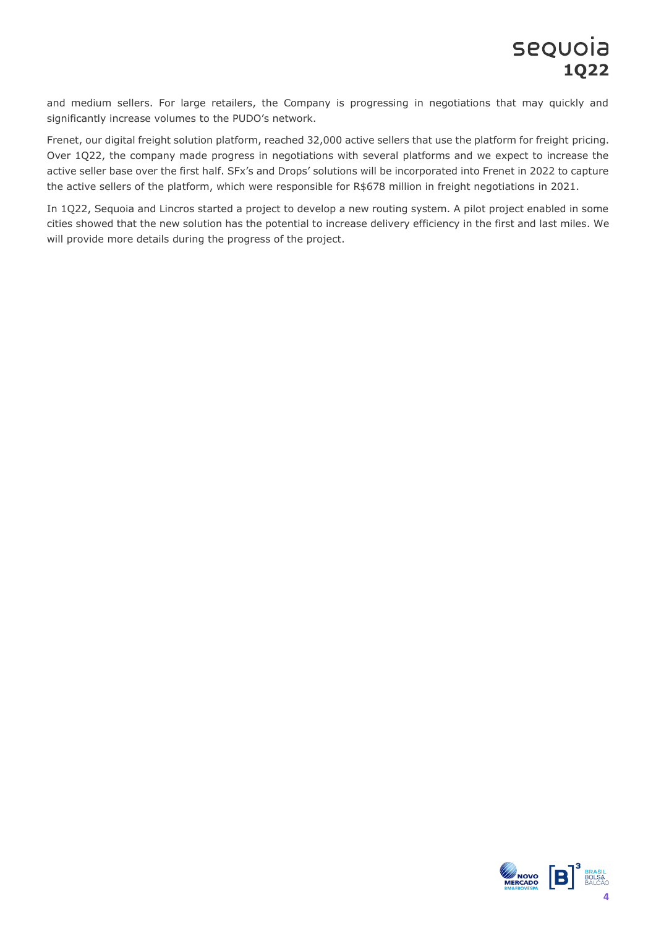and medium sellers. For large retailers, the Company is progressing in negotiations that may quickly and significantly increase volumes to the PUDO's network.

Frenet, our digital freight solution platform, reached 32,000 active sellers that use the platform for freight pricing. Over 1Q22, the company made progress in negotiations with several platforms and we expect to increase the active seller base over the first half. SFx's and Drops' solutions will be incorporated into Frenet in 2022 to capture the active sellers of the platform, which were responsible for R\$678 million in freight negotiations in 2021.

In 1Q22, Sequoia and Lincros started a project to develop a new routing system. A pilot project enabled in some cities showed that the new solution has the potential to increase delivery efficiency in the first and last miles. We will provide more details during the progress of the project.

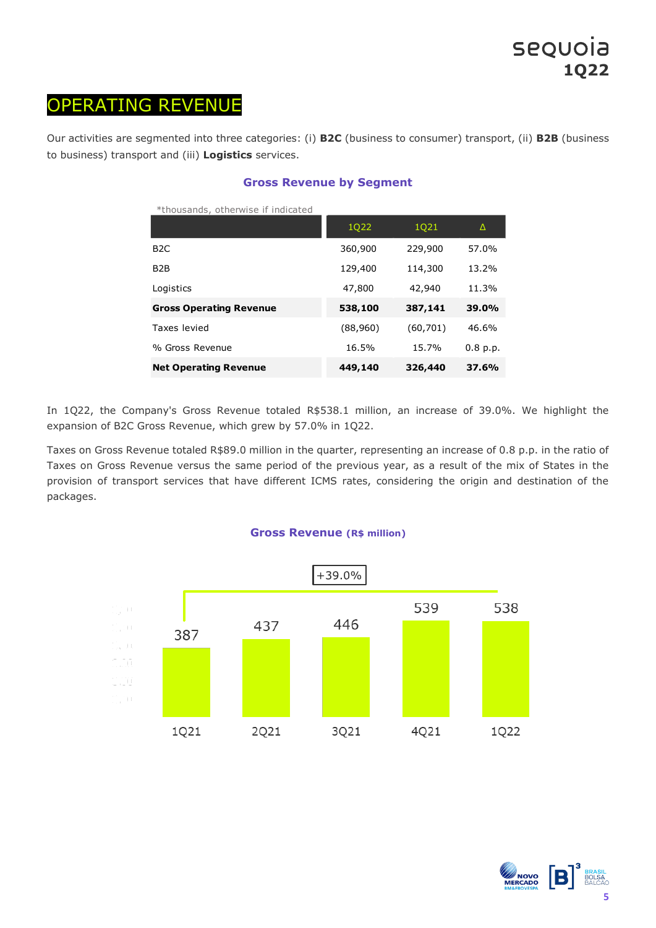## OPERATING REVENUE

Our activities are segmented into three categories: (i) **B2C** (business to consumer) transport, (ii) **B2B** (business to business) transport and (iii) **Logistics** services.

| *thousands, otherwise if indicated |          |           |          |
|------------------------------------|----------|-----------|----------|
|                                    | 1Q22     | 1021      | Δ        |
| B <sub>2</sub> C                   | 360,900  | 229,900   | 57.0%    |
| B <sub>2</sub> B                   | 129,400  | 114,300   | 13.2%    |
| Logistics                          | 47,800   | 42,940    | 11.3%    |
| <b>Gross Operating Revenue</b>     | 538,100  | 387,141   | 39.0%    |
| Taxes levied                       | (88,960) | (60, 701) | 46.6%    |
| % Gross Revenue                    | 16.5%    | 15.7%     | 0.8 p.p. |
| <b>Net Operating Revenue</b>       | 449,140  | 326,440   | 37.6%    |

### **Gross Revenue by Segment**

In 1Q22, the Company's Gross Revenue totaled R\$538.1 million, an increase of 39.0%. We highlight the expansion of B2C Gross Revenue, which grew by 57.0% in 1Q22.

Taxes on Gross Revenue totaled R\$89.0 million in the quarter, representing an increase of 0.8 p.p. in the ratio of Taxes on Gross Revenue versus the same period of the previous year, as a result of the mix of States in the provision of transport services that have different ICMS rates, considering the origin and destination of the packages.





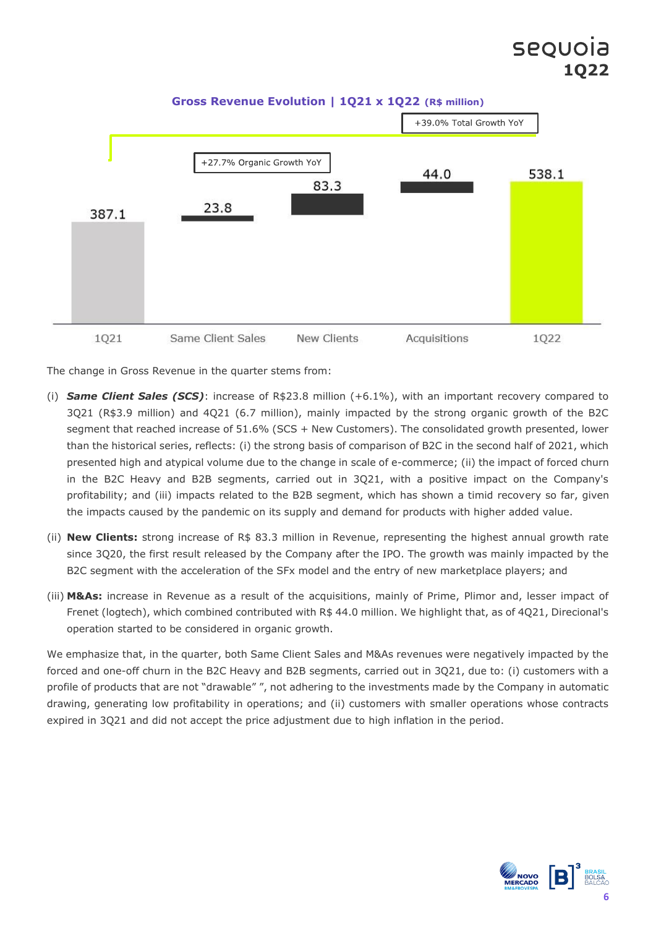

**Gross Revenue Evolution | 1Q21 x 1Q22 (R\$ million)**

The change in Gross Revenue in the quarter stems from:

- (i) *Same Client Sales (SCS)*: increase of R\$23.8 million (+6.1%), with an important recovery compared to 3Q21 (R\$3.9 million) and 4Q21 (6.7 million), mainly impacted by the strong organic growth of the B2C segment that reached increase of 51.6% (SCS + New Customers). The consolidated growth presented, lower than the historical series, reflects: (i) the strong basis of comparison of B2C in the second half of 2021, which presented high and atypical volume due to the change in scale of e-commerce; (ii) the impact of forced churn in the B2C Heavy and B2B segments, carried out in 3Q21, with a positive impact on the Company's profitability; and (iii) impacts related to the B2B segment, which has shown a timid recovery so far, given the impacts caused by the pandemic on its supply and demand for products with higher added value.
- (ii) **New Clients:** strong increase of R\$ 83.3 million in Revenue, representing the highest annual growth rate since 3Q20, the first result released by the Company after the IPO. The growth was mainly impacted by the B2C segment with the acceleration of the SFx model and the entry of new marketplace players; and
- (iii) **M&As:** increase in Revenue as a result of the acquisitions, mainly of Prime, Plimor and, lesser impact of Frenet (logtech), which combined contributed with R\$ 44.0 million. We highlight that, as of 4Q21, Direcional's operation started to be considered in organic growth.

We emphasize that, in the quarter, both Same Client Sales and M&As revenues were negatively impacted by the forced and one-off churn in the B2C Heavy and B2B segments, carried out in 3Q21, due to: (i) customers with a profile of products that are not "drawable" ", not adhering to the investments made by the Company in automatic drawing, generating low profitability in operations; and (ii) customers with smaller operations whose contracts expired in 3Q21 and did not accept the price adjustment due to high inflation in the period.

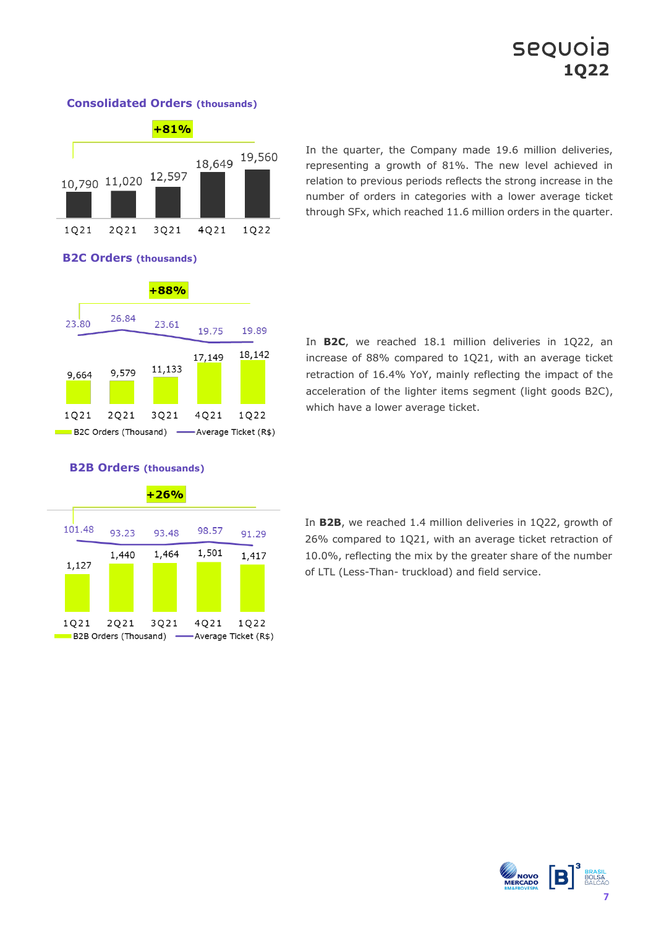# sequoia **1Q22**



#### **Consolidated Orders (thousands)**

In the quarter, the Company made 19.6 million deliveries, representing a growth of 81%. The new level achieved in relation to previous periods reflects the strong increase in the number of orders in categories with a lower average ticket through SFx, which reached 11.6 million orders in the quarter.



In **B2C**, we reached 18.1 million deliveries in 1Q22, an increase of 88% compared to 1Q21, with an average ticket retraction of 16.4% YoY, mainly reflecting the impact of the acceleration of the lighter items segment (light goods B2C), which have a lower average ticket.



#### **B2B Orders (thousands)**

**B2C Orders (thousands)**

In **B2B**, we reached 1.4 million deliveries in 1Q22, growth of 26% compared to 1Q21, with an average ticket retraction of 10.0%, reflecting the mix by the greater share of the number of LTL (Less-Than- truckload) and field service.

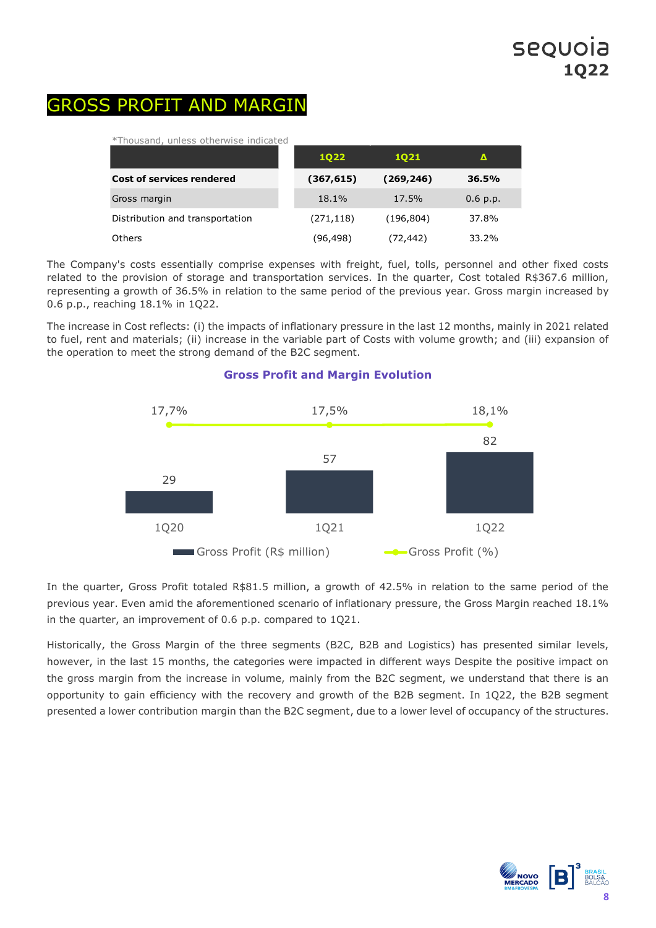## GROSS PROFIT AND MARGIN

\*Thousand, unless otherwise indicated

|                                  | <b>1Q22</b> | 1021       | Δ        |  |
|----------------------------------|-------------|------------|----------|--|
| <b>Cost of services rendered</b> | (367, 615)  | (269, 246) | 36.5%    |  |
| Gross margin                     | 18.1%       | 17.5%      | 0.6 p.p. |  |
| Distribution and transportation  | (271,118)   | (196, 804) | 37.8%    |  |
| Others                           | (96,498)    | (72, 442)  | 33.2%    |  |

The Company's costs essentially comprise expenses with freight, fuel, tolls, personnel and other fixed costs related to the provision of storage and transportation services. In the quarter, Cost totaled R\$367.6 million, representing a growth of 36.5% in relation to the same period of the previous year. Gross margin increased by 0.6 p.p., reaching 18.1% in 1Q22.

The increase in Cost reflects: (i) the impacts of inflationary pressure in the last 12 months, mainly in 2021 related to fuel, rent and materials; (ii) increase in the variable part of Costs with volume growth; and (iii) expansion of the operation to meet the strong demand of the B2C segment.



#### **Gross Profit and Margin Evolution**

In the quarter, Gross Profit totaled R\$81.5 million, a growth of 42.5% in relation to the same period of the previous year. Even amid the aforementioned scenario of inflationary pressure, the Gross Margin reached 18.1% in the quarter, an improvement of 0.6 p.p. compared to 1Q21.

Historically, the Gross Margin of the three segments (B2C, B2B and Logistics) has presented similar levels, however, in the last 15 months, the categories were impacted in different ways Despite the positive impact on the gross margin from the increase in volume, mainly from the B2C segment, we understand that there is an opportunity to gain efficiency with the recovery and growth of the B2B segment. In 1Q22, the B2B segment presented a lower contribution margin than the B2C segment, due to a lower level of occupancy of the structures.

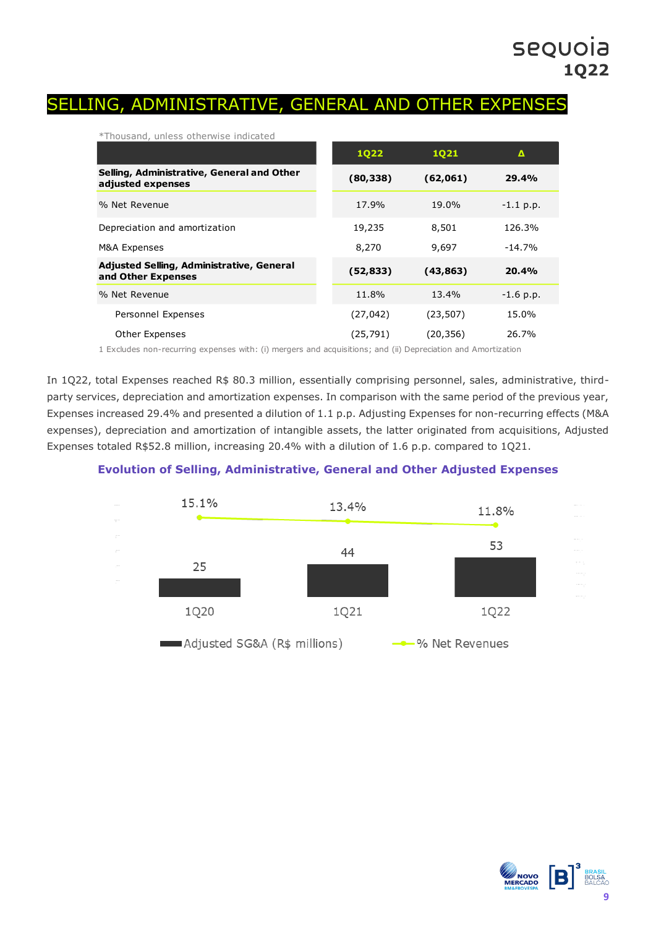### SELLING, ADMINISTRATIVE, GENERAL AND OTHER EXPENSES

| *Thousand, unless otherwise indicated                           |             |           |             |
|-----------------------------------------------------------------|-------------|-----------|-------------|
|                                                                 | <b>1Q22</b> | 1021      | Δ           |
| Selling, Administrative, General and Other<br>adjusted expenses | (80, 338)   | (62,061)  | 29.4%       |
| % Net Revenue                                                   | 17.9%       | 19.0%     | $-1.1$ p.p. |
| Depreciation and amortization                                   | 19,235      | 8,501     | 126.3%      |
| M&A Expenses                                                    | 8,270       | 9,697     | $-14.7%$    |
| Adjusted Selling, Administrative, General<br>and Other Expenses | (52, 833)   | (43,863)  | 20.4%       |
| % Net Revenue                                                   | 11.8%       | 13.4%     | $-1.6$ p.p. |
| Personnel Expenses                                              | (27, 042)   | (23, 507) | 15.0%       |
| Other Expenses                                                  | (25, 791)   | (20, 356) | 26.7%       |

1 Excludes non-recurring expenses with: (i) mergers and acquisitions; and (ii) Depreciation and Amortization

In 1Q22, total Expenses reached R\$ 80.3 million, essentially comprising personnel, sales, administrative, thirdparty services, depreciation and amortization expenses. In comparison with the same period of the previous year, Expenses increased 29.4% and presented a dilution of 1.1 p.p. Adjusting Expenses for non-recurring effects (M&A expenses), depreciation and amortization of intangible assets, the latter originated from acquisitions, Adjusted Expenses totaled R\$52.8 million, increasing 20.4% with a dilution of 1.6 p.p. compared to 1Q21.

### **Evolution of Selling, Administrative, General and Other Adjusted Expenses**



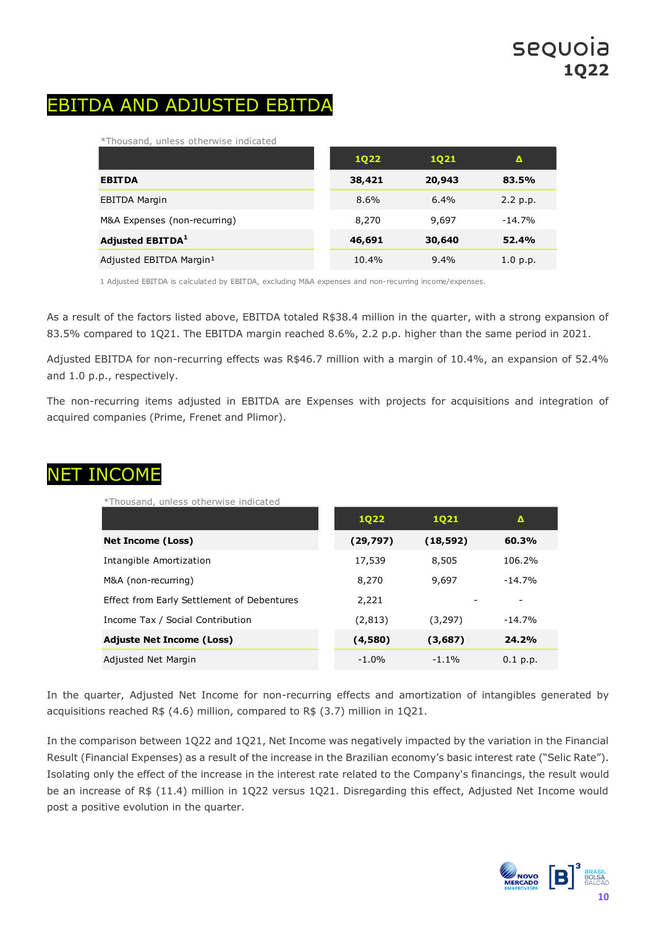## EBITDA AND ADJUSTED EBITDA

\*Thousand, unless otherwise indicated

|                                     | <b>1Q22</b> | <b>1Q21</b> | $\mathbf{\Lambda}$ |
|-------------------------------------|-------------|-------------|--------------------|
| <b>EBITDA</b>                       | 38,421      | 20,943      | 83.5%              |
| <b>EBITDA Margin</b>                | 8.6%        | $6.4\%$     | 2.2 p.p.           |
| M&A Expenses (non-recurring)        | 8,270       | 9,697       | $-14.7%$           |
| <b>Adjusted EBITDA1</b>             | 46,691      | 30,640      | 52.4%              |
| Adjusted EBITDA Margin <sup>1</sup> | 10.4%       | $9.4\%$     | 1.0 p.p.           |

1 Adjusted EBITDA is calculated by EBITDA, excluding M&A expenses and non-recurring income/expenses.

As a result of the factors listed above, EBITDA totaled R\$38.4 million in the quarter, with a strong expansion of 83.5% compared to 1Q21. The EBITDA margin reached 8.6%, 2.2 p.p. higher than the same period in 2021.

Adjusted EBITDA for non-recurring effects was R\$46.7 million with a margin of 10.4%, an expansion of 52.4% and 1.0 p.p., respectively.

The non-recurring items adjusted in EBITDA are Expenses with projects for acquisitions and integration of acquired companies (Prime, Frenet and Plimor).

## NET INCOME

\*Thousand, unless otherwise indicated

|                                            | <b>1Q22</b> | 1021      | Δ          |
|--------------------------------------------|-------------|-----------|------------|
| <b>Net Income (Loss)</b>                   | (29, 797)   | (18, 592) | 60.3%      |
| Intangible Amortization                    | 17,539      | 8,505     | 106.2%     |
| M&A (non-recurring)                        | 8,270       | 9,697     | $-14.7%$   |
| Effect from Early Settlement of Debentures | 2,221       |           |            |
| Income Tax / Social Contribution           | (2, 813)    | (3, 297)  | $-14.7%$   |
| <b>Adjuste Net Income (Loss)</b>           | (4,580)     | (3,687)   | 24.2%      |
| Adjusted Net Margin                        | $-1.0%$     | $-1.1\%$  | $0.1$ p.p. |

In the quarter, Adjusted Net Income for non-recurring effects and amortization of intangibles generated by acquisitions reached R\$ (4.6) million, compared to R\$ (3.7) million in 1Q21.

In the comparison between 1Q22 and 1Q21, Net Income was negatively impacted by the variation in the Financial Result (Financial Expenses) as a result of the increase in the Brazilian economy's basic interest rate ("Selic Rate"). Isolating only the effect of the increase in the interest rate related to the Company's financings, the result would be an increase of R\$ (11.4) million in 1Q22 versus 1Q21. Disregarding this effect, Adjusted Net Income would post a positive evolution in the quarter.

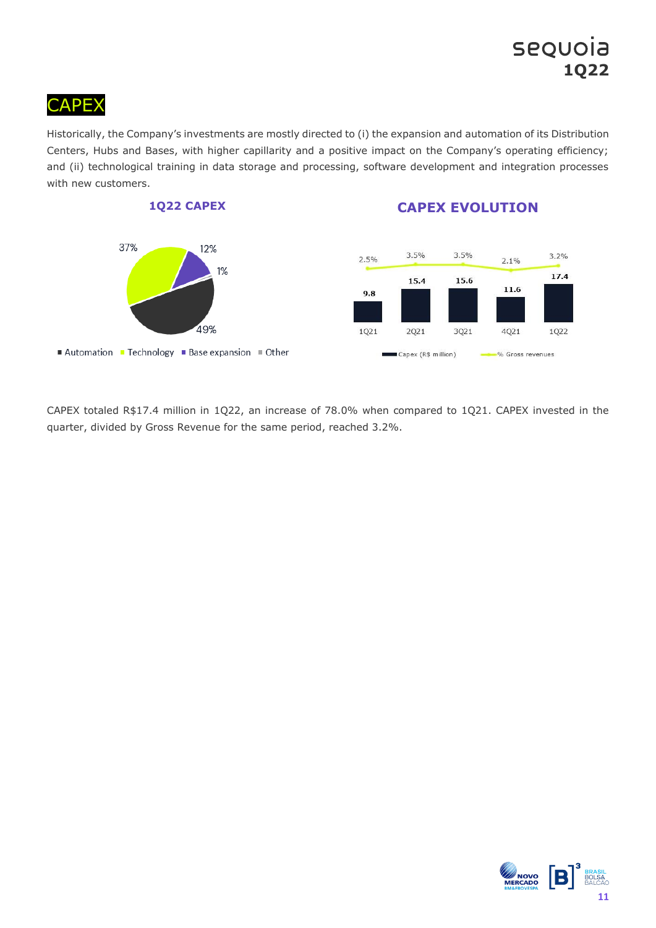# **CAPEX**

Historically, the Company's investments are mostly directed to (i) the expansion and automation of its Distribution Centers, Hubs and Bases, with higher capillarity and a positive impact on the Company's operating efficiency; and (ii) technological training in data storage and processing, software development and integration processes with new customers.



CAPEX totaled R\$17.4 million in 1Q22, an increase of 78.0% when compared to 1Q21. CAPEX invested in the quarter, divided by Gross Revenue for the same period, reached 3.2%.

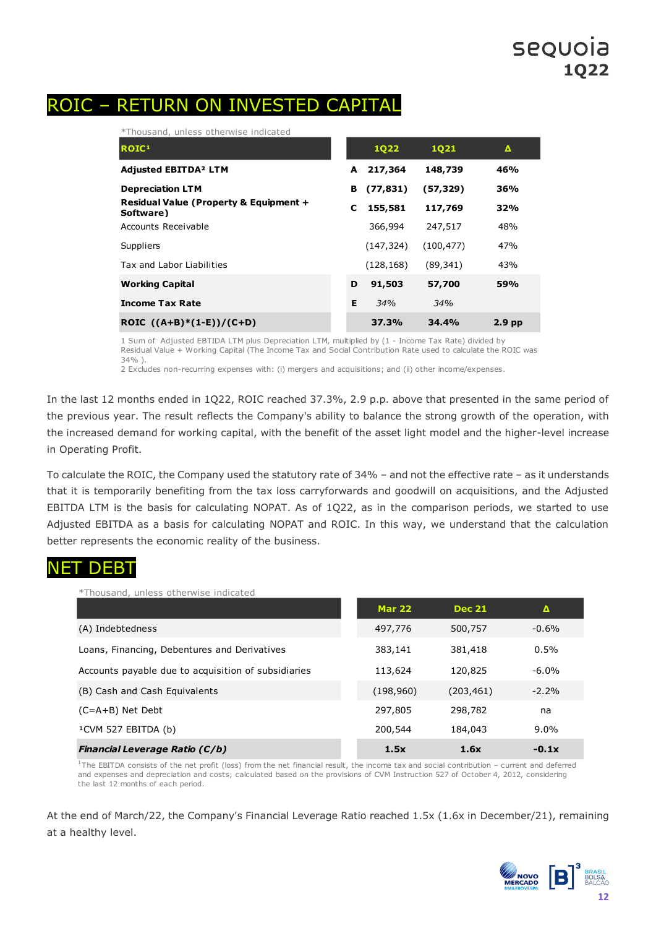### ROIC – RETURN ON INVESTED CAPITAL

\*Thousand, unless otherwise indicated

| ROIC <sup>1</sup>                                   |   | <b>1Q22</b> | 1021       | Δ                 |
|-----------------------------------------------------|---|-------------|------------|-------------------|
| <b>Adjusted EBITDA<sup>2</sup> LTM</b>              | A | 217,364     | 148,739    | 46%               |
| <b>Depreciation LTM</b>                             | в | (77, 831)   | (57, 329)  | 36%               |
| Residual Value (Property & Equipment +<br>Software) | C | 155,581     | 117,769    | 32%               |
| Accounts Receivable                                 |   | 366,994     | 247,517    | 48%               |
| Suppliers                                           |   | (147, 324)  | (100, 477) | 47%               |
| Tax and Labor Liabilities                           |   | (128, 168)  | (89, 341)  | 43%               |
| <b>Working Capital</b>                              | D | 91,503      | 57,700     | 59%               |
| <b>Income Tax Rate</b>                              | Е | 34%         | 34%        |                   |
| ROIC $((A+B)*(1-E))/(C+D)$                          |   | 37.3%       | 34.4%      | 2.9 <sub>pp</sub> |

1 Sum of Adjusted EBTIDA LTM plus Depreciation LTM, multiplied by (1 - Income Tax Rate) divided by Residual Value + Working Capital (The Income Tax and Social Contribution Rate used to calculate the ROIC was 34% ).

2 Excludes non-recurring expenses with: (i) mergers and acquisitions; and (ii) other income/expenses.

In the last 12 months ended in 1Q22, ROIC reached 37.3%, 2.9 p.p. above that presented in the same period of the previous year. The result reflects the Company's ability to balance the strong growth of the operation, with the increased demand for working capital, with the benefit of the asset light model and the higher-level increase in Operating Profit.

To calculate the ROIC, the Company used the statutory rate of 34% – and not the effective rate – as it understands that it is temporarily benefiting from the tax loss carryforwards and goodwill on acquisitions, and the Adjusted EBITDA LTM is the basis for calculating NOPAT. As of 1Q22, as in the comparison periods, we started to use Adjusted EBITDA as a basis for calculating NOPAT and ROIC. In this way, we understand that the calculation better represents the economic reality of the business.

### NET DEBT

| *Thousand, unless otherwise indicated               |               |               |          |
|-----------------------------------------------------|---------------|---------------|----------|
|                                                     | <b>Mar 22</b> | <b>Dec 21</b> | Δ        |
| (A) Indebtedness                                    | 497,776       | 500,757       | $-0.6%$  |
| Loans, Financing, Debentures and Derivatives        | 383,141       | 381,418       | 0.5%     |
| Accounts payable due to acquisition of subsidiaries | 113,624       | 120,825       | $-6.0\%$ |
| (B) Cash and Cash Equivalents                       | (198, 960)    | (203, 461)    | $-2.2%$  |
| $(C=A+B)$ Net Debt                                  | 297,805       | 298,782       | na       |
| <sup>1</sup> CVM 527 EBITDA (b)                     | 200,544       | 184,043       | $9.0\%$  |
| <b>Financial Leverage Ratio (C/b)</b>               | 1.5x          | 1.6x          | $-0.1x$  |

 $1$ The EBITDA consists of the net profit (loss) from the net financial result, the income tax and social contribution – current and deferred and expenses and depreciation and costs; calculated based on the provisions of CVM Instruction 527 of October 4, 2012, considering the last 12 months of each period.

At the end of March/22, the Company's Financial Leverage Ratio reached 1.5x (1.6x in December/21), remaining at a healthy level.

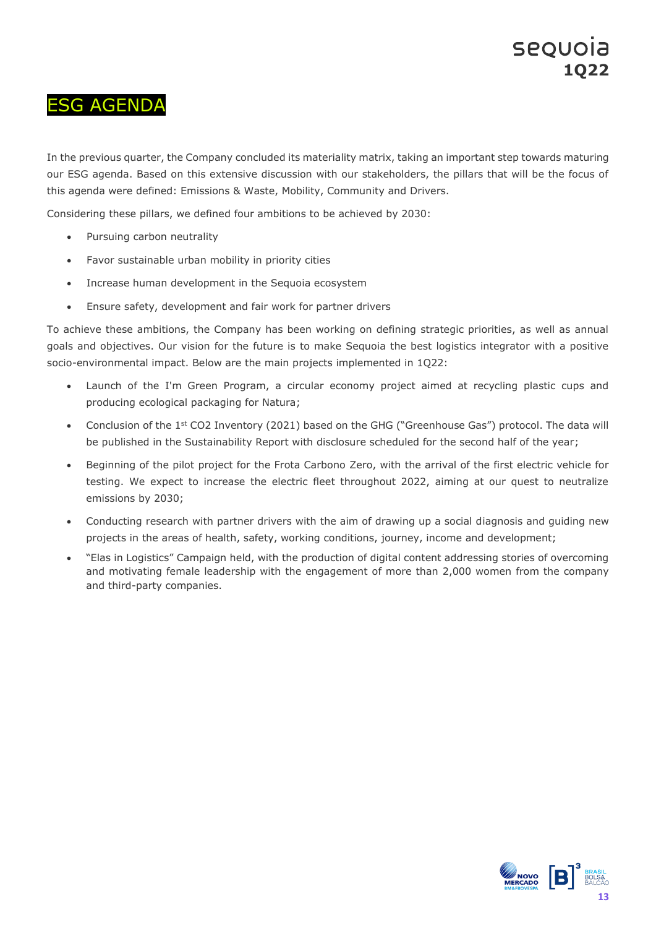## ESG AGENDA

In the previous quarter, the Company concluded its materiality matrix, taking an important step towards maturing our ESG agenda. Based on this extensive discussion with our stakeholders, the pillars that will be the focus of this agenda were defined: Emissions & Waste, Mobility, Community and Drivers.

Considering these pillars, we defined four ambitions to be achieved by 2030:

- Pursuing carbon neutrality
- Favor sustainable urban mobility in priority cities
- Increase human development in the Sequoia ecosystem
- Ensure safety, development and fair work for partner drivers

To achieve these ambitions, the Company has been working on defining strategic priorities, as well as annual goals and objectives. Our vision for the future is to make Sequoia the best logistics integrator with a positive socio-environmental impact. Below are the main projects implemented in 1Q22:

- Launch of the I'm Green Program, a circular economy project aimed at recycling plastic cups and producing ecological packaging for Natura;
- Conclusion of the 1<sup>st</sup> CO2 Inventory (2021) based on the GHG ("Greenhouse Gas") protocol. The data will be published in the Sustainability Report with disclosure scheduled for the second half of the year;
- Beginning of the pilot project for the Frota Carbono Zero, with the arrival of the first electric vehicle for testing. We expect to increase the electric fleet throughout 2022, aiming at our quest to neutralize emissions by 2030;
- Conducting research with partner drivers with the aim of drawing up a social diagnosis and guiding new projects in the areas of health, safety, working conditions, journey, income and development;
- "Elas in Logistics" Campaign held, with the production of digital content addressing stories of overcoming and motivating female leadership with the engagement of more than 2,000 women from the company and third-party companies.

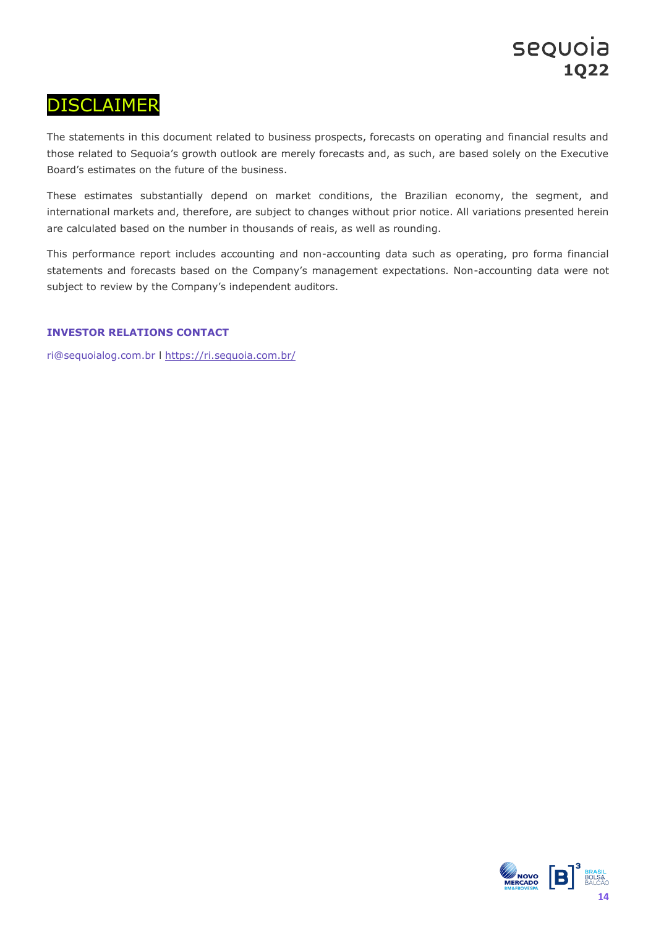### DISCLAIMER

The statements in this document related to business prospects, forecasts on operating and financial results and those related to Sequoia's growth outlook are merely forecasts and, as such, are based solely on the Executive Board's estimates on the future of the business.

These estimates substantially depend on market conditions, the Brazilian economy, the segment, and international markets and, therefore, are subject to changes without prior notice. All variations presented herein are calculated based on the number in thousands of reais, as well as rounding.

This performance report includes accounting and non-accounting data such as operating, pro forma financial statements and forecasts based on the Company's management expectations. Non-accounting data were not subject to review by the Company's independent auditors.

#### **INVESTOR RELATIONS CONTACT**

ri@sequoialog.com.br l <https://ri.sequoia.com.br/>

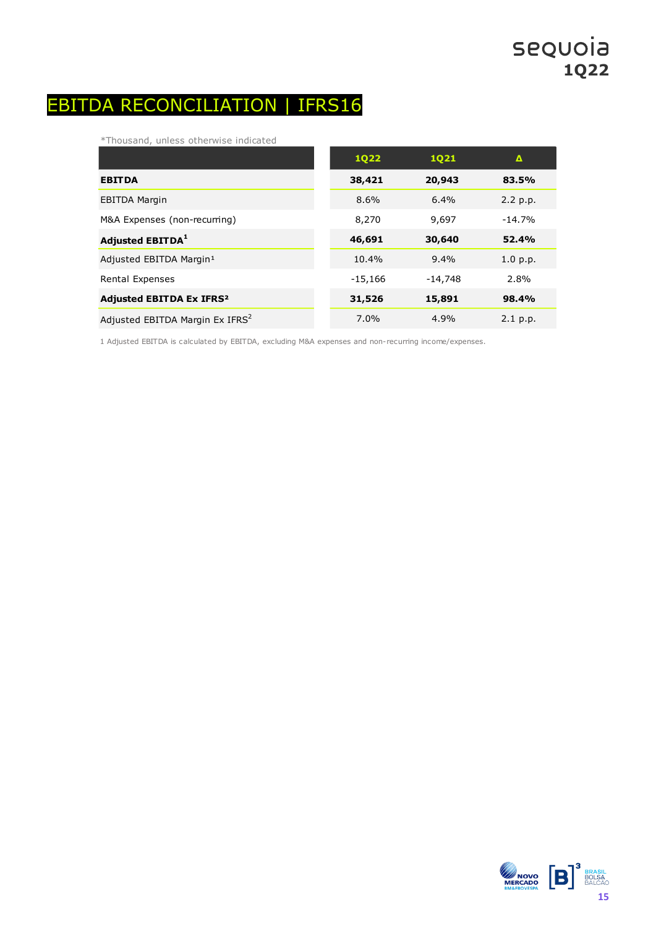## EBITDA RECONCILIATION | IFRS16

\*Thousand, unless otherwise indicated

|                                             | <b>1Q22</b> | <b>1Q21</b> | Δ            |
|---------------------------------------------|-------------|-------------|--------------|
| <b>EBITDA</b>                               | 38,421      | 20,943      | 83.5%        |
| <b>EBITDA Margin</b>                        | 8.6%        | 6.4%        | 2.2 p.p.     |
| M&A Expenses (non-recurring)                | 8,270       | 9,697       | $-14.7%$     |
| Adjusted EBITDA <sup>1</sup>                | 46,691      | 30,640      | <b>52.4%</b> |
| Adjusted EBITDA Margin <sup>1</sup>         | 10.4%       | 9.4%        | 1.0 p.p.     |
| Rental Expenses                             | $-15,166$   | $-14,748$   | 2.8%         |
| <b>Adjusted EBITDA Ex IFRS<sup>2</sup></b>  | 31,526      | 15,891      | 98.4%        |
| Adjusted EBITDA Margin Ex IFRS <sup>2</sup> | 7.0%        | 4.9%        | 2.1 p.p.     |

1 Adjusted EBITDA is calculated by EBITDA, excluding M&A expenses and non-recurring income/expenses.

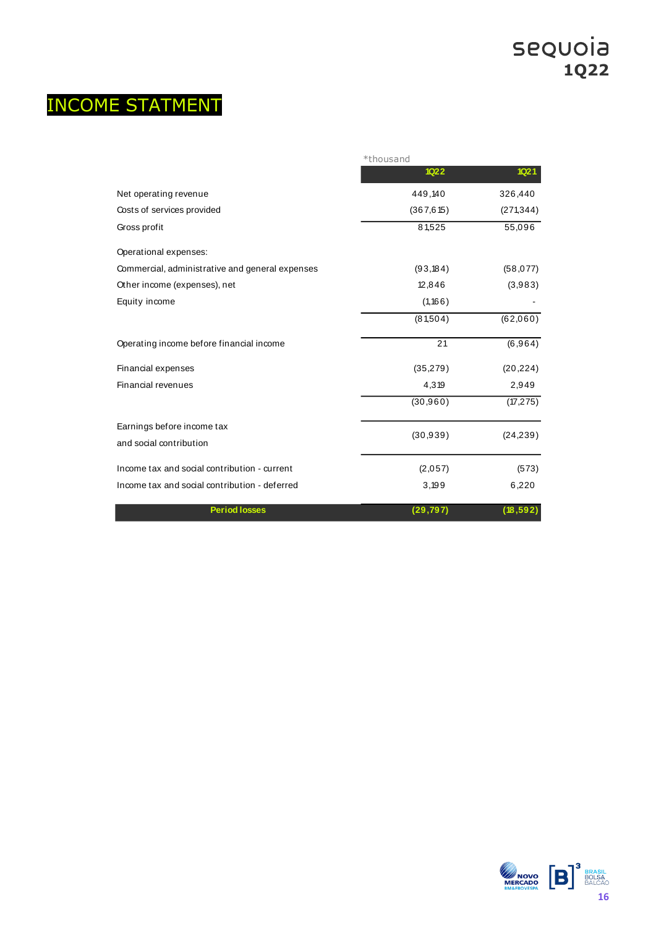# INCOME STATMENT

|                                                 | *thousand   |                  |
|-------------------------------------------------|-------------|------------------|
|                                                 | <b>1Q22</b> | 1Q <sub>21</sub> |
| Net operating revenue                           | 449,140     | 326,440          |
| Costs of services provided                      | (367, 615)  | (271, 344)       |
| Gross profit                                    | 81,525      | 55,096           |
| Operational expenses:                           |             |                  |
| Commercial, administrative and general expenses | (93, 184)   | (58, 077)        |
| Other income (expenses), net                    | 12,846      | (3,983)          |
| Equity income                                   | (1, 166)    |                  |
|                                                 | (81,504)    | (62,060)         |
| Operating income before financial income        | 21          | (6,964)          |
| Financial expenses                              | (35, 279)   | (20, 224)        |
| Financial revenues                              | 4,319       | 2,949            |
|                                                 | (30, 960)   | (17, 275)        |
| Earnings before income tax                      | (30, 939)   | (24, 239)        |
| and social contribution                         |             |                  |
| Income tax and social contribution - current    | (2,057)     | (573)            |
| Income tax and social contribution - deferred   | 3,199       | 6,220            |
| <b>Period losses</b>                            | (29, 797)   | (18, 592)        |

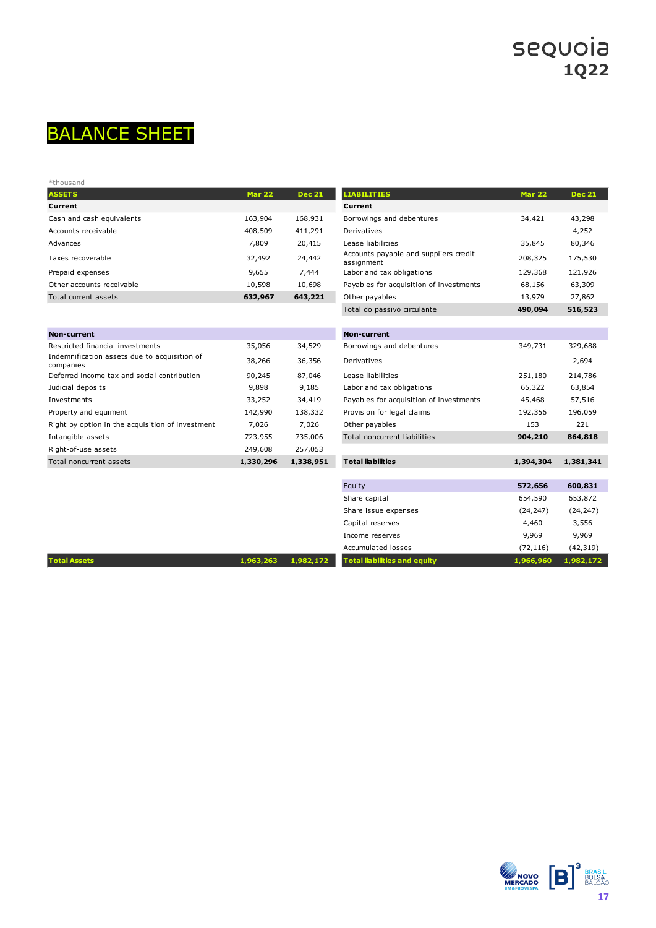

| *thousand                 |               |               |                                                     |                          |               |
|---------------------------|---------------|---------------|-----------------------------------------------------|--------------------------|---------------|
| <b>ASSETS</b>             | <b>Mar 22</b> | <b>Dec 21</b> | <b>LIABILITIES</b>                                  | <b>Mar 22</b>            | <b>Dec 21</b> |
| Current                   |               |               | Current                                             |                          |               |
| Cash and cash equivalents | 163,904       | 168,931       | Borrowings and debentures                           | 34,421                   | 43,298        |
| Accounts receivable       | 408,509       | 411,291       | Derivatives                                         | $\overline{\phantom{a}}$ | 4,252         |
| Advances                  | 7,809         | 20,415        | Lease liabilities                                   | 35,845                   | 80,346        |
| Taxes recoverable         | 32,492        | 24,442        | Accounts payable and suppliers credit<br>assignment | 208,325                  | 175,530       |
| Prepaid expenses          | 9,655         | 7,444         | Labor and tax obligations                           | 129,368                  | 121,926       |
| Other accounts receivable | 10,598        | 10,698        | Payables for acquisition of investments             | 68,156                   | 63,309        |
| Total current assets      | 632,967       | 643,221       | Other payables                                      | 13,979                   | 27,862        |

| <b>Non-current</b>                                        |           |           | <b>Non-current</b>                      |           |           |
|-----------------------------------------------------------|-----------|-----------|-----------------------------------------|-----------|-----------|
| Restricted financial investments                          | 35,056    | 34,529    | Borrowings and debentures               | 349,731   | 329,688   |
| Indemnification assets due to acquisition of<br>companies | 38,266    | 36,356    | Derivatives                             | ٠         | 2,694     |
| Deferred income tax and social contribution               | 90,245    | 87,046    | Lease liabilities                       | 251,180   | 214,786   |
| Judicial deposits                                         | 9,898     | 9,185     | Labor and tax obligations               | 65,322    | 63,854    |
| Investments                                               | 33,252    | 34,419    | Payables for acquisition of investments | 45,468    | 57,516    |
| Property and equiment                                     | 142,990   | 138,332   | Provision for legal claims              | 192,356   | 196,059   |
| Right by option in the acquisition of investment          | 7,026     | 7,026     | Other payables                          | 153       | 221       |
| Intangible assets                                         | 723,955   | 735,006   | Total noncurrent liabilities            | 904,210   | 864,818   |
| Right-of-use assets                                       | 249,608   | 257,053   |                                         |           |           |
| Total noncurrent assets                                   | 1,330,296 | 1,338,951 | <b>Total liabilities</b>                | 1,394,304 | 1,381,341 |

| <b>ASSETS</b>                                             | <b>Mar 22</b> | <b>Dec 21</b> | <b>LIABILITIES</b>                                  | <b>Mar 22</b> | <b>Dec 21</b> |
|-----------------------------------------------------------|---------------|---------------|-----------------------------------------------------|---------------|---------------|
| Current                                                   |               |               | Current                                             |               |               |
| Cash and cash equivalents                                 | 163,904       | 168,931       | Borrowings and debentures                           | 34,421        | 43,298        |
| Accounts receivable                                       | 408,509       | 411,291       | Derivatives                                         |               | 4,252         |
| Advances                                                  | 7,809         | 20,415        | Lease liabilities                                   | 35,845        | 80,346        |
| Taxes recoverable                                         | 32,492        | 24,442        | Accounts payable and suppliers credit<br>assignment | 208,325       | 175,530       |
| Prepaid expenses                                          | 9,655         | 7,444         | Labor and tax obligations                           | 129,368       | 121,926       |
| Other accounts receivable                                 | 10,598        | 10,698        | Payables for acquisition of investments             | 68,156        | 63,309        |
| Total current assets                                      | 632,967       | 643,221       | Other payables                                      | 13,979        | 27,862        |
|                                                           |               |               | Total do passivo circulante                         | 490,094       | 516,523       |
|                                                           |               |               |                                                     |               |               |
| Non-current                                               |               |               | <b>Non-current</b>                                  |               |               |
| Restricted financial investments                          | 35,056        | 34,529        | Borrowings and debentures                           | 349,731       | 329,688       |
| Indemnification assets due to acquisition of<br>companies | 38,266        | 36,356        | Derivatives                                         |               | 2,694         |
| Deferred income tax and social contribution               | 90,245        | 87,046        | Lease liabilities                                   | 251,180       | 214,786       |
| Judicial deposits                                         | 9,898         | 9,185         | Labor and tax obligations                           | 65,322        | 63,854        |
| Investments                                               | 33,252        | 34,419        | Payables for acquisition of investments             | 45,468        | 57,516        |
| Property and equiment                                     | 142,990       | 138,332       | Provision for legal claims                          | 192,356       | 196,059       |
| Right by option in the acquisition of investment          | 7,026         | 7,026         | Other payables                                      | 153           | 221           |
| Intangible assets                                         | 723,955       | 735,006       | Total noncurrent liabilities                        | 904,210       | 864,818       |
| Right-of-use assets                                       | 249,608       | 257,053       |                                                     |               |               |
| Total noncurrent assets                                   | 1,330,296     | 1,338,951     | <b>Total liabilities</b>                            | 1,394,304     | 1,381,341     |
|                                                           |               |               |                                                     |               |               |
|                                                           |               |               | Equity                                              | 572,656       | 600,831       |
|                                                           |               |               | Share capital                                       | 654,590       | 653,872       |
|                                                           |               |               | Share issue expenses                                | (24, 247)     | (24, 247)     |
|                                                           |               |               | Capital reserves                                    | 4,460         | 3,556         |
|                                                           |               |               | Income reserves                                     | 9,969         | 9,969         |
|                                                           |               |               | <b>Accumulated losses</b>                           | (72, 116)     | (42, 319)     |
| <b>Total Assets</b>                                       | 1,963,263     | 1,982,172     | <b>Total liabilities and equity</b>                 | 1,966,960     | 1,982,172     |
|                                                           |               |               |                                                     |               |               |